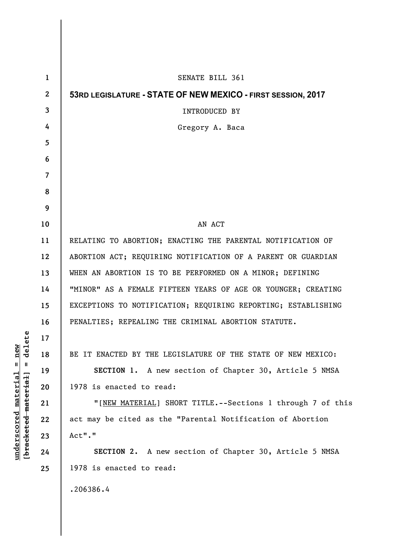| SENATE BILL 361<br>1<br>$\mathbf{2}$<br>53RD LEGISLATURE - STATE OF NEW MEXICO - FIRST SESSION, 2017 |  |
|------------------------------------------------------------------------------------------------------|--|
|                                                                                                      |  |
|                                                                                                      |  |
| 3<br><b>INTRODUCED BY</b>                                                                            |  |
| 4<br>Gregory A. Baca                                                                                 |  |
| 5                                                                                                    |  |
| 6                                                                                                    |  |
| 7                                                                                                    |  |
| 8                                                                                                    |  |
| 9                                                                                                    |  |
| AN ACT<br>10                                                                                         |  |
| RELATING TO ABORTION; ENACTING THE PARENTAL NOTIFICATION OF<br>11                                    |  |
| ABORTION ACT; REQUIRING NOTIFICATION OF A PARENT OR GUARDIAN<br>12                                   |  |
| WHEN AN ABORTION IS TO BE PERFORMED ON A MINOR; DEFINING<br>13                                       |  |
| "MINOR" AS A FEMALE FIFTEEN YEARS OF AGE OR YOUNGER; CREATING<br>14                                  |  |
| EXCEPTIONS TO NOTIFICATION; REQUIRING REPORTING; ESTABLISHING<br>15                                  |  |
| PENALTIES; REPEALING THE CRIMINAL ABORTION STATUTE.<br>16                                            |  |
| 17                                                                                                   |  |
| BE IT ENACTED BY THE LEGISLATURE OF THE STATE OF NEW MEXICO:<br>18                                   |  |
| 19<br>SECTION 1. A new section of Chapter 30, Article 5 NMSA                                         |  |
| 1978 is enacted to read:<br>20                                                                       |  |
| 21<br>"[NEW MATERIAL] SHORT TITLE.--Sections 1 through 7 of this                                     |  |
| act may be cited as the "Parental Notification of Abortion<br>22                                     |  |
| Act"."<br>23                                                                                         |  |
| SECTION 2. A new section of Chapter 30, Article 5 NMSA<br>24                                         |  |
| 1978 is enacted to read:<br>25                                                                       |  |
| .206386.4                                                                                            |  |

 $[**bracket eted metert et**] = **del et e**$ **[bracketed material] = delete**  $underscored material = new$ **underscored material = new**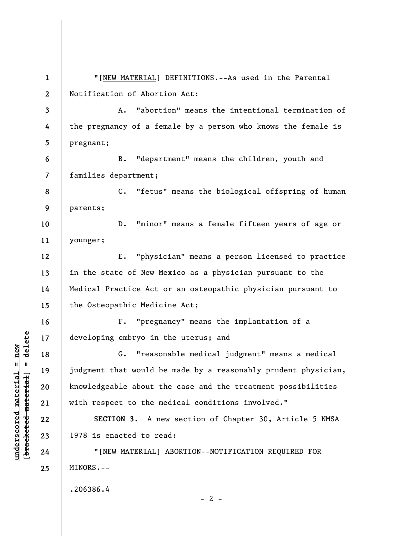**1 2 3 4 5 6 7 8 9 10 11 12 13 14 15 16 17 18 19 20 21 22 23 24 25**  "[NEW MATERIAL] DEFINITIONS.--As used in the Parental Notification of Abortion Act: A. "abortion" means the intentional termination of the pregnancy of a female by a person who knows the female is pregnant; B. "department" means the children, youth and families department; C. "fetus" means the biological offspring of human parents; D. "minor" means a female fifteen years of age or younger; E. "physician" means a person licensed to practice in the state of New Mexico as a physician pursuant to the Medical Practice Act or an osteopathic physician pursuant to the Osteopathic Medicine Act; F. "pregnancy" means the implantation of a developing embryo in the uterus; and G. "reasonable medical judgment" means a medical judgment that would be made by a reasonably prudent physician, knowledgeable about the case and the treatment possibilities with respect to the medical conditions involved." **SECTION 3.** A new section of Chapter 30, Article 5 NMSA 1978 is enacted to read: "[NEW MATERIAL] ABORTION--NOTIFICATION REQUIRED FOR MINORS.-- .206386.4  $- 2 -$ 

**underscored material = new [bracketed material] = delete**

 $b$ racketed material] = delete  $underscored material = new$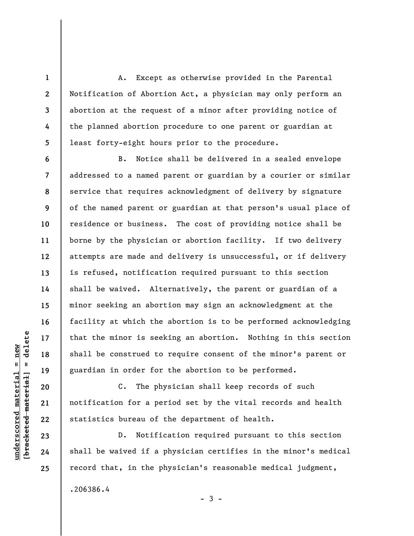A. Except as otherwise provided in the Parental Notification of Abortion Act, a physician may only perform an abortion at the request of a minor after providing notice of the planned abortion procedure to one parent or guardian at least forty-eight hours prior to the procedure.

B. Notice shall be delivered in a sealed envelope addressed to a named parent or guardian by a courier or similar service that requires acknowledgment of delivery by signature of the named parent or guardian at that person's usual place of residence or business. The cost of providing notice shall be borne by the physician or abortion facility. If two delivery attempts are made and delivery is unsuccessful, or if delivery is refused, notification required pursuant to this section shall be waived. Alternatively, the parent or guardian of a minor seeking an abortion may sign an acknowledgment at the facility at which the abortion is to be performed acknowledging that the minor is seeking an abortion. Nothing in this section shall be construed to require consent of the minor's parent or guardian in order for the abortion to be performed.

C. The physician shall keep records of such notification for a period set by the vital records and health statistics bureau of the department of health.

D. Notification required pursuant to this section shall be waived if a physician certifies in the minor's medical record that, in the physician's reasonable medical judgment, .206386.4  $-3 -$ 

 $\frac{1}{2}$  bracketed material = delete **[bracketed material] = delete**  $underscored material = new$ **underscored material = new**

**1** 

**2** 

**3** 

**4** 

**5** 

**6** 

**7** 

**8** 

**9** 

**10** 

**11** 

**12** 

**13** 

**14** 

**15** 

**16** 

**17** 

**18** 

**19** 

**20** 

**21** 

**22** 

**23** 

**24**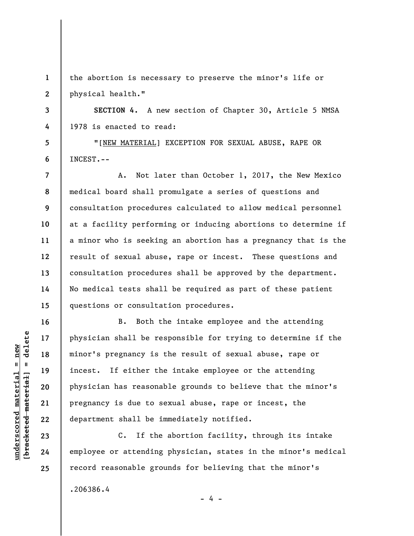**1 2**  the abortion is necessary to preserve the minor's life or physical health."

**SECTION 4.** A new section of Chapter 30, Article 5 NMSA 1978 is enacted to read:

"[NEW MATERIAL] EXCEPTION FOR SEXUAL ABUSE, RAPE OR INCEST.--

A. Not later than October 1, 2017, the New Mexico medical board shall promulgate a series of questions and consultation procedures calculated to allow medical personnel at a facility performing or inducing abortions to determine if a minor who is seeking an abortion has a pregnancy that is the result of sexual abuse, rape or incest. These questions and consultation procedures shall be approved by the department. No medical tests shall be required as part of these patient questions or consultation procedures.

B. Both the intake employee and the attending physician shall be responsible for trying to determine if the minor's pregnancy is the result of sexual abuse, rape or incest. If either the intake employee or the attending physician has reasonable grounds to believe that the minor's pregnancy is due to sexual abuse, rape or incest, the department shall be immediately notified.

C. If the abortion facility, through its intake employee or attending physician, states in the minor's medical record reasonable grounds for believing that the minor's

- 4 -

.206386.4

 $\frac{1}{2}$  intereted material = delete **[bracketed material] = delete**  $underscored material = new$ **underscored material = new**

**3** 

**4** 

**5** 

**6** 

**7** 

**8** 

**9** 

**10** 

**11** 

**12** 

**13** 

**14** 

**15** 

**16** 

**17** 

**18** 

**19** 

**20** 

**21** 

**22** 

**23** 

**24**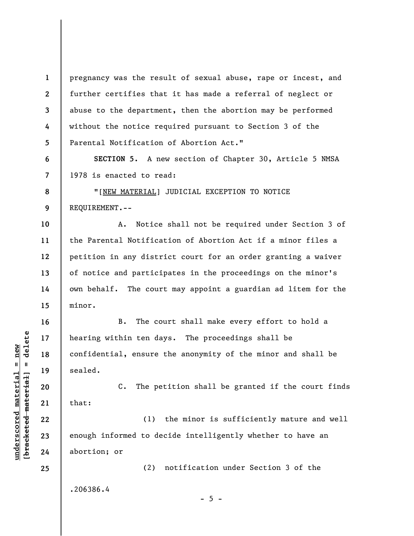**1 2 3 4 5**  pregnancy was the result of sexual abuse, rape or incest, and further certifies that it has made a referral of neglect or abuse to the department, then the abortion may be performed without the notice required pursuant to Section 3 of the Parental Notification of Abortion Act."

**SECTION 5.** A new section of Chapter 30, Article 5 NMSA 1978 is enacted to read:

"[NEW MATERIAL] JUDICIAL EXCEPTION TO NOTICE REQUIREMENT.--

**10 11 12 13 14 15**  A. Notice shall not be required under Section 3 of the Parental Notification of Abortion Act if a minor files a petition in any district court for an order granting a waiver of notice and participates in the proceedings on the minor's own behalf. The court may appoint a guardian ad litem for the minor.

B. The court shall make every effort to hold a hearing within ten days. The proceedings shall be confidential, ensure the anonymity of the minor and shall be sealed.

C. The petition shall be granted if the court finds that:

(1) the minor is sufficiently mature and well enough informed to decide intelligently whether to have an abortion; or

 $- 5 -$ 

(2) notification under Section 3 of the

.206386.4

 $b$ racketed material] = delete **[bracketed material] = delete**  $underscored$  material = new **underscored material = new**

**6** 

**7** 

**8** 

**9** 

**16** 

**17** 

**18** 

**19** 

**20** 

**21** 

**22** 

**23** 

**24**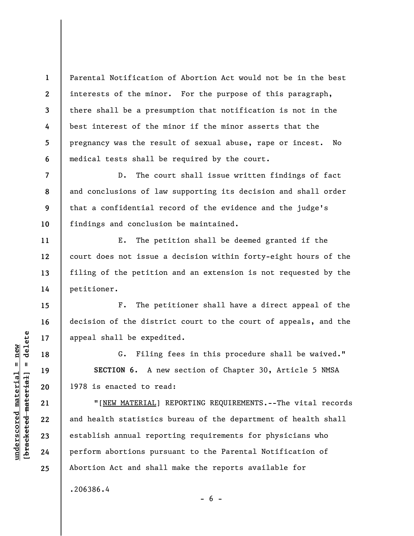Parental Notification of Abortion Act would not be in the best interests of the minor. For the purpose of this paragraph, there shall be a presumption that notification is not in the best interest of the minor if the minor asserts that the pregnancy was the result of sexual abuse, rape or incest. No medical tests shall be required by the court.

D. The court shall issue written findings of fact and conclusions of law supporting its decision and shall order that a confidential record of the evidence and the judge's findings and conclusion be maintained.

E. The petition shall be deemed granted if the court does not issue a decision within forty-eight hours of the filing of the petition and an extension is not requested by the petitioner.

F. The petitioner shall have a direct appeal of the decision of the district court to the court of appeals, and the appeal shall be expedited.

G. Filing fees in this procedure shall be waived." **SECTION 6.** A new section of Chapter 30, Article 5 NMSA 1978 is enacted to read:

"[NEW MATERIAL] REPORTING REQUIREMENTS.--The vital records and health statistics bureau of the department of health shall establish annual reporting requirements for physicians who perform abortions pursuant to the Parental Notification of Abortion Act and shall make the reports available for .206386.4

 $\frac{1}{2}$  intereted material = delete **[bracketed material] = delete**  $underscored$  material = new **underscored material = new**

**1** 

**2** 

**3** 

**4** 

**5** 

**6** 

**7** 

**8** 

**9** 

**10** 

**11** 

**12** 

**13** 

**14** 

**15** 

**16** 

**17** 

**18** 

**19** 

**20** 

**21** 

**22** 

**23** 

**24** 

**25** 

 $- 6 -$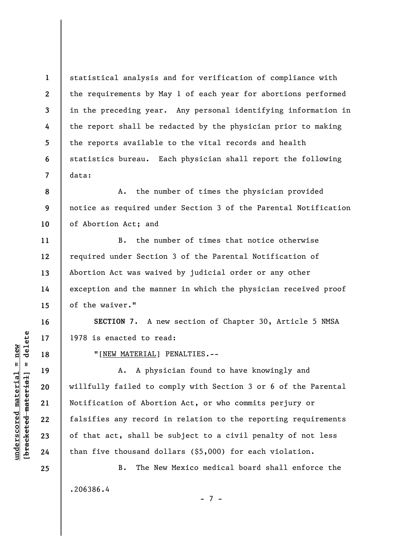statistical analysis and for verification of compliance with the requirements by May 1 of each year for abortions performed in the preceding year. Any personal identifying information in the report shall be redacted by the physician prior to making the reports available to the vital records and health statistics bureau. Each physician shall report the following data:

**8 9 10**  A. the number of times the physician provided notice as required under Section 3 of the Parental Notification of Abortion Act; and

B. the number of times that notice otherwise required under Section 3 of the Parental Notification of Abortion Act was waived by judicial order or any other exception and the manner in which the physician received proof of the waiver."

**SECTION 7.** A new section of Chapter 30, Article 5 NMSA 1978 is enacted to read:

"[NEW MATERIAL] PENALTIES.--

A. A physician found to have knowingly and willfully failed to comply with Section 3 or 6 of the Parental Notification of Abortion Act, or who commits perjury or falsifies any record in relation to the reporting requirements of that act, shall be subject to a civil penalty of not less than five thousand dollars (\$5,000) for each violation.

B. The New Mexico medical board shall enforce the .206386.4 - 7 -

 $\frac{1}{2}$  intereted material = delete **[bracketed material] = delete**  $underscored material = new$ **underscored material = new**

**1** 

**2** 

**3** 

**4** 

**5** 

**6** 

**7** 

**11** 

**12** 

**13** 

**14** 

**15** 

**16** 

**17** 

**18** 

**19** 

**20** 

**21** 

**22** 

**23** 

**24**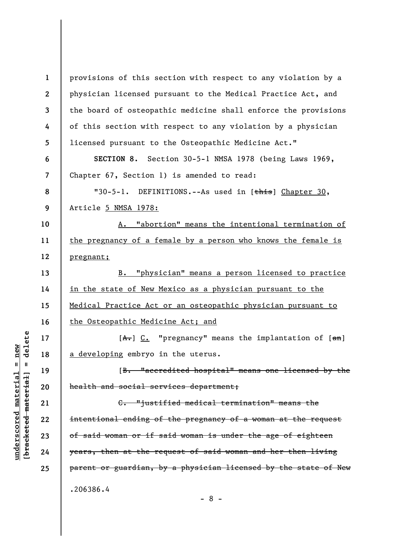**1 2 3 4 5 6 7 8 9 10 11 12 13 14 15 16 17 18 19 20 21 22 23 24 25**  provisions of this section with respect to any violation by a physician licensed pursuant to the Medical Practice Act, and the board of osteopathic medicine shall enforce the provisions of this section with respect to any violation by a physician licensed pursuant to the Osteopathic Medicine Act." **SECTION 8.** Section 30-5-1 NMSA 1978 (being Laws 1969, Chapter 67, Section 1) is amended to read: "30-5-1. DEFINITIONS.--As used in [this] Chapter 30, Article 5 NMSA 1978: A. "abortion" means the intentional termination of the pregnancy of a female by a person who knows the female is pregnant; B. "physician" means a person licensed to practice in the state of New Mexico as a physician pursuant to the Medical Practice Act or an osteopathic physician pursuant to the Osteopathic Medicine Act; and  $[A<sub>+</sub>]$  C. "pregnancy" means the implantation of  $[4\pi]$ a developing embryo in the uterus. [B. "accredited hospital" means one licensed by the health and social services department; C. "justified medical termination" means the intentional ending of the pregnancy of a woman at the request of said woman or if said woman is under the age of eighteen years, then at the request of said woman and her then living parent or guardian, by a physician licensed by the state of New .206386.4

delete **[bracketed material] = delete**  $underscored material = new$ **underscored material = new**  $\mathbf{I}$ bracketed material

- 8 -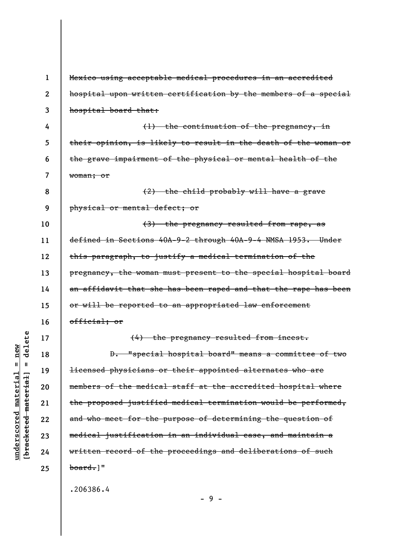**1 2 3 4 5 6 7 8 9 10 11 12 13 14 15 16 17 18 19 20 21 22 23 24 25**  Mexico using acceptable medical procedures in an accredited hospital upon written certification by the members of a special hospital board that: (1) the continuation of the pregnancy, in their opinion, is likely to result in the death of the woman or the grave impairment of the physical or mental health of the woman; or (2) the child probably will have a grave physical or mental defect; or (3) the pregnancy resulted from rape, as defined in Sections 40A-9-2 through 40A-9-4 NMSA 1953. Under this paragraph, to justify a medical termination of the pregnancy, the woman must present to the special hospital board an affidavit that she has been raped and that the rape has been or will be reported to an appropriated law enforcement official; or (4) the pregnancy resulted from incest. D. "special hospital board" means a committee of two licensed physicians or their appointed alternates who are members of the medical staff at the accredited hospital where the proposed justified medical termination would be performed, and who meet for the purpose of determining the question of medical justification in an individual ease, and maintain a written record of the proceedings and deliberations of such  $\text{board.}$ ]" .206386.4

**underscored material = new [bracketed material] = delete**

 $anderscored material = new$ 

delete

 $\mathbf{I}$ 

bracketed material]

- 9 -